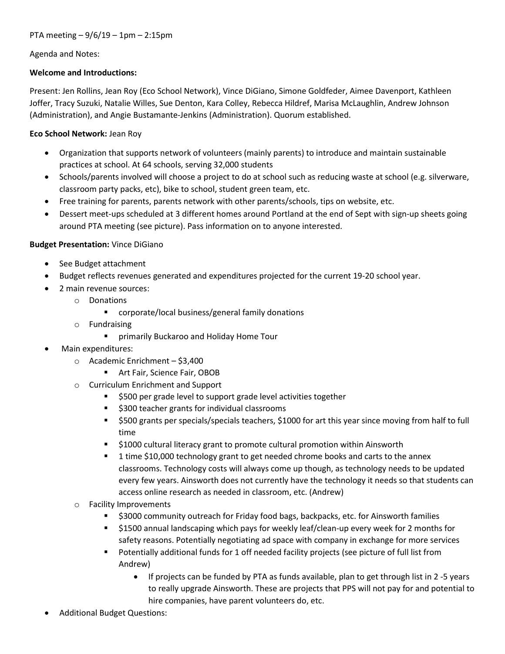Agenda and Notes:

### Welcome and Introductions:

Present: Jen Rollins, Jean Roy (Eco School Network), Vince DiGiano, Simone Goldfeder, Aimee Davenport, Kathleen Joffer, Tracy Suzuki, Natalie Willes, Sue Denton, Kara Colley, Rebecca Hildref, Marisa McLaughlin, Andrew Johnson (Administration), and Angie Bustamante-Jenkins (Administration). Quorum established.

### Eco School Network: Jean Roy

- Organization that supports network of volunteers (mainly parents) to introduce and maintain sustainable practices at school. At 64 schools, serving 32,000 students
- Schools/parents involved will choose a project to do at school such as reducing waste at school (e.g. silverware, classroom party packs, etc), bike to school, student green team, etc.
- Free training for parents, parents network with other parents/schools, tips on website, etc.
- Dessert meet-ups scheduled at 3 different homes around Portland at the end of Sept with sign-up sheets going around PTA meeting (see picture). Pass information on to anyone interested.

### Budget Presentation: Vince DiGiano

- See Budget attachment
- Budget reflects revenues generated and expenditures projected for the current 19-20 school year.
- 2 main revenue sources:
	- o Donations
		- **E** corporate/local business/general family donations
	- o Fundraising
		- **F** primarily Buckaroo and Holiday Home Tour
- Main expenditures:
	- o Academic Enrichment \$3,400
		- **Art Fair, Science Fair, OBOB**
	- o Curriculum Enrichment and Support
		- **5500 per grade level to support grade level activities together**
		- **5300 teacher grants for individual classrooms**
		- \$500 grants per specials/specials teachers, \$1000 for art this year since moving from half to full time
		- **51000 cultural literacy grant to promote cultural promotion within Ainsworth**
		- 1 time \$10,000 technology grant to get needed chrome books and carts to the annex classrooms. Technology costs will always come up though, as technology needs to be updated every few years. Ainsworth does not currently have the technology it needs so that students can access online research as needed in classroom, etc. (Andrew)
	- o Facility Improvements
		- \$3000 community outreach for Friday food bags, backpacks, etc. for Ainsworth families
		- \$1500 annual landscaping which pays for weekly leaf/clean-up every week for 2 months for safety reasons. Potentially negotiating ad space with company in exchange for more services
		- Potentially additional funds for 1 off needed facility projects (see picture of full list from Andrew)
			- If projects can be funded by PTA as funds available, plan to get through list in 2 -5 years to really upgrade Ainsworth. These are projects that PPS will not pay for and potential to hire companies, have parent volunteers do, etc.
- Additional Budget Questions: